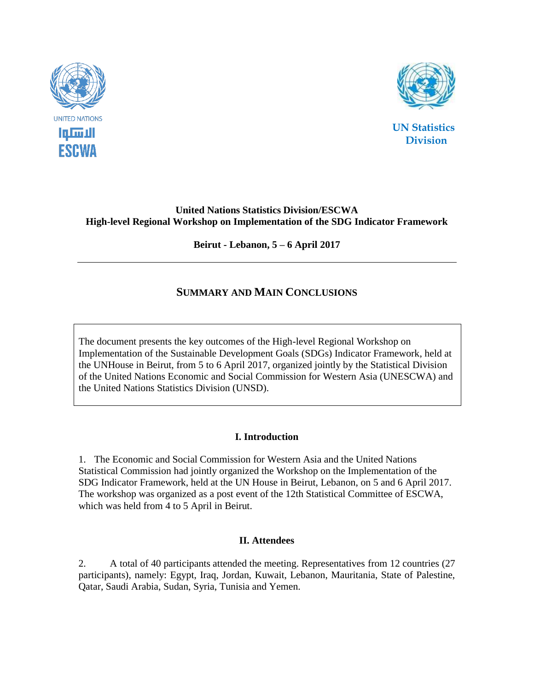



 **UN Statistics Division**

### **United Nations Statistics Division/ESCWA High-level Regional Workshop on Implementation of the SDG Indicator Framework**

**Beirut - Lebanon, 5 – 6 April 2017**

# **SUMMARY AND MAIN CONCLUSIONS**

The document presents the key outcomes of the High-level Regional Workshop on Implementation of the Sustainable Development Goals (SDGs) Indicator Framework, held at the UNHouse in Beirut, from 5 to 6 April 2017, organized jointly by the Statistical Division of the United Nations Economic and Social Commission for Western Asia (UNESCWA) and the United Nations Statistics Division (UNSD).

## **I. Introduction**

1. The Economic and Social Commission for Western Asia and the United Nations Statistical Commission had jointly organized the Workshop on the Implementation of the SDG Indicator Framework, held at the UN House in Beirut, Lebanon, on 5 and 6 April 2017. The workshop was organized as a post event of the 12th Statistical Committee of ESCWA, which was held from 4 to 5 April in Beirut.

#### **II. Attendees**

2. A total of 40 participants attended the meeting. Representatives from 12 countries (27 participants), namely: Egypt, Iraq, Jordan, Kuwait, Lebanon, Mauritania, State of Palestine, Qatar, Saudi Arabia, Sudan, Syria, Tunisia and Yemen.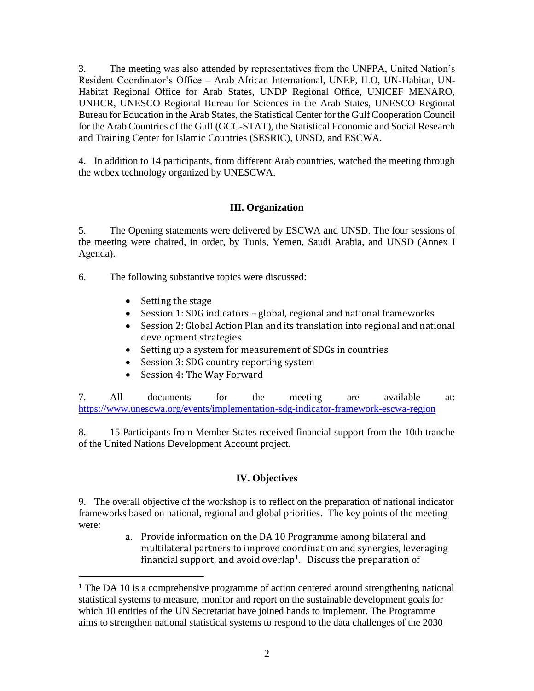3. The meeting was also attended by representatives from the UNFPA, United Nation's Resident Coordinator's Office – Arab African International, UNEP, ILO, UN-Habitat, UN-Habitat Regional Office for Arab States, UNDP Regional Office, UNICEF MENARO, UNHCR, UNESCO Regional Bureau for Sciences in the Arab States, UNESCO Regional Bureau for Education in the Arab States, the Statistical Center for the Gulf Cooperation Council for the Arab Countries of the Gulf (GCC-STAT), the Statistical Economic and Social Research and Training Center for Islamic Countries (SESRIC), UNSD, and ESCWA.

4. In addition to 14 participants, from different Arab countries, watched the meeting through the webex technology organized by UNESCWA.

### **III. Organization**

5. The Opening statements were delivered by ESCWA and UNSD. The four sessions of the meeting were chaired, in order, by Tunis, Yemen, Saudi Arabia, and UNSD (Annex I Agenda).

- 6. The following substantive topics were discussed:
	- Setting the stage

 $\overline{a}$ 

- Session 1: SDG indicators global, regional and national frameworks
- Session 2: Global Action Plan and its translation into regional and national development strategies
- Setting up a system for measurement of SDGs in countries
- Session 3: SDG country reporting system
- Session 4: The Way Forward

7. All documents for the meeting are available at: <https://www.unescwa.org/events/implementation-sdg-indicator-framework-escwa-region>

8. 15 Participants from Member States received financial support from the 10th tranche of the United Nations Development Account project.

## **IV. Objectives**

9. The overall objective of the workshop is to reflect on the preparation of national indicator frameworks based on national, regional and global priorities. The key points of the meeting were:

> a. Provide information on the DA 10 Programme among bilateral and multilateral partners to improve coordination and synergies, leveraging financial support, and avoid overlap<sup>1</sup>. Discuss the preparation of

<sup>&</sup>lt;sup>1</sup> The DA 10 is a comprehensive programme of action centered around strengthening national statistical systems to measure, monitor and report on the sustainable development goals for which 10 entities of the UN Secretariat have joined hands to implement. The Programme aims to strengthen national statistical systems to respond to the data challenges of the 2030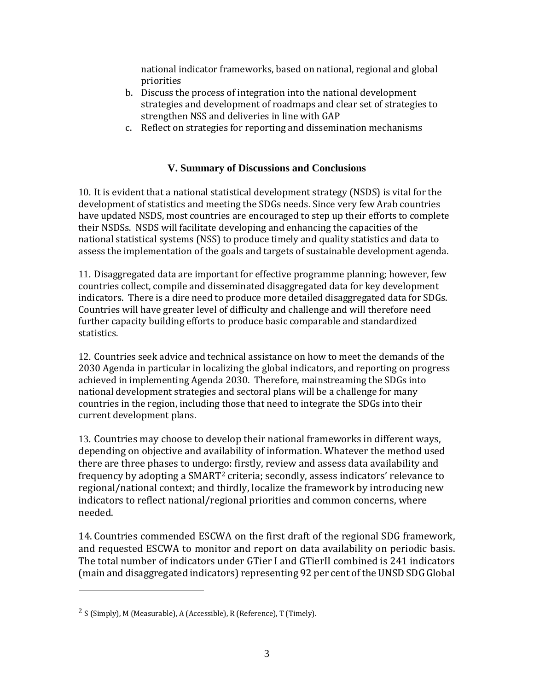national indicator frameworks, based on national, regional and global priorities

- b. Discuss the process of integration into the national development strategies and development of roadmaps and clear set of strategies to strengthen NSS and deliveries in line with GAP
- c. Reflect on strategies for reporting and dissemination mechanisms

# **V. Summary of Discussions and Conclusions**

10. It is evident that a national statistical development strategy (NSDS) is vital for the development of statistics and meeting the SDGs needs. Since very few Arab countries have updated NSDS, most countries are encouraged to step up their efforts to complete their NSDSs. NSDS will facilitate developing and enhancing the capacities of the national statistical systems (NSS) to produce timely and quality statistics and data to assess the implementation of the goals and targets of sustainable development agenda.

11. Disaggregated data are important for effective programme planning; however, few countries collect, compile and disseminated disaggregated data for key development indicators. There is a dire need to produce more detailed disaggregated data for SDGs. Countries will have greater level of difficulty and challenge and will therefore need further capacity building efforts to produce basic comparable and standardized statistics.

12. Countries seek advice and technical assistance on how to meet the demands of the 2030 Agenda in particular in localizing the global indicators, and reporting on progress achieved in implementing Agenda 2030. Therefore, mainstreaming the SDGs into national development strategies and sectoral plans will be a challenge for many countries in the region, including those that need to integrate the SDGs into their current development plans.

13. Countries may choose to develop their national frameworks in different ways, depending on objective and availability of information. Whatever the method used there are three phases to undergo: firstly, review and assess data availability and frequency by adopting a SMART<sup>2</sup> criteria; secondly, assess indicators' relevance to regional/national context; and thirdly, localize the framework by introducing new indicators to reflect national/regional priorities and common concerns, where needed.

14. Countries commended ESCWA on the first draft of the regional SDG framework, and requested ESCWA to monitor and report on data availability on periodic basis. The total number of indicators under GTier I and GTierII combined is 241 indicators (main and disaggregated indicators) representing 92 per cent of the UNSD SDG Global

 $\overline{a}$ 

<sup>2</sup> S (Simply), M (Measurable), A (Accessible), R (Reference), T (Timely).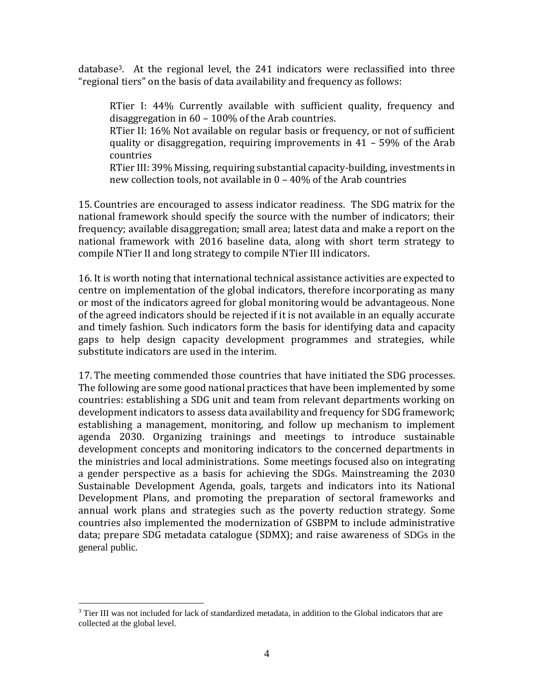database3. At the regional level, the 241 indicators were reclassified into three "regional tiers" on the basis of data availability and frequency as follows:

RTier I: 44% Currently available with sufficient quality, frequency and disaggregation in 60 – 100% of the Arab countries.

RTier II: 16% Not available on regular basis or frequency, or not of sufficient quality or disaggregation, requiring improvements in 41 – 59% of the Arab countries

RTier III: 39% Missing, requiring substantial capacity-building, investments in new collection tools, not available in 0 – 40% of the Arab countries

15. Countries are encouraged to assess indicator readiness. The SDG matrix for the national framework should specify the source with the number of indicators; their frequency; available disaggregation; small area; latest data and make a report on the national framework with 2016 baseline data, along with short term strategy to compile NTier II and long strategy to compile NTier III indicators.

16. It is worth noting that international technical assistance activities are expected to centre on implementation of the global indicators, therefore incorporating as many or most of the indicators agreed for global monitoring would be advantageous. None of the agreed indicators should be rejected if it is not available in an equally accurate and timely fashion. Such indicators form the basis for identifying data and capacity gaps to help design capacity development programmes and strategies, while substitute indicators are used in the interim.

17. The meeting commended those countries that have initiated the SDG processes. The following are some good national practices that have been implemented by some countries: establishing a SDG unit and team from relevant departments working on development indicators to assess data availability and frequency for SDG framework; establishing a management, monitoring, and follow up mechanism to implement agenda 2030. Organizing trainings and meetings to introduce sustainable development concepts and monitoring indicators to the concerned departments in the ministries and local administrations. Some meetings focused also on integrating a gender perspective as a basis for achieving the SDGs. Mainstreaming the 2030 Sustainable Development Agenda, goals, targets and indicators into its National Development Plans, and promoting the preparation of sectoral frameworks and annual work plans and strategies such as the poverty reduction strategy. Some countries also implemented the modernization of GSBPM to include administrative data; prepare SDG metadata catalogue (SDMX); and raise awareness of SDGs in the general public.

 $\overline{a}$ <sup>3</sup> Tier III was not included for lack of standardized metadata, in addition to the Global indicators that are collected at the global level.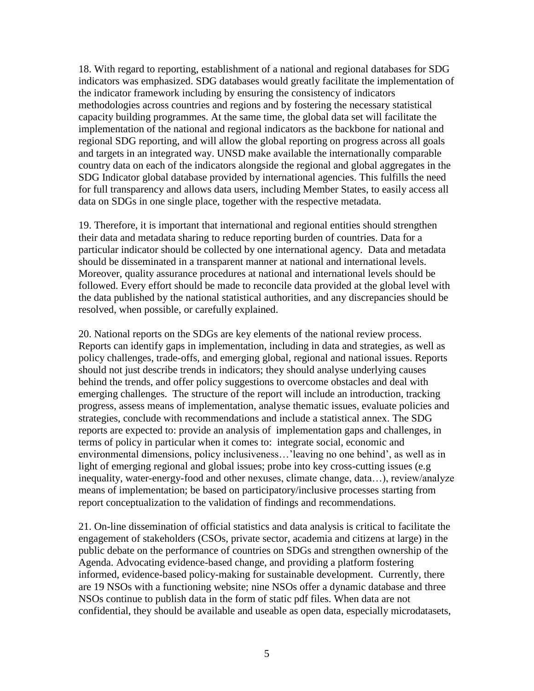18. With regard to reporting, establishment of a national and regional databases for SDG indicators was emphasized. SDG databases would greatly facilitate the implementation of the indicator framework including by ensuring the consistency of indicators methodologies across countries and regions and by fostering the necessary statistical capacity building programmes. At the same time, the global data set will facilitate the implementation of the national and regional indicators as the backbone for national and regional SDG reporting, and will allow the global reporting on progress across all goals and targets in an integrated way. UNSD make available the internationally comparable country data on each of the indicators alongside the regional and global aggregates in the SDG Indicator global database provided by international agencies. This fulfills the need for full transparency and allows data users, including Member States, to easily access all data on SDGs in one single place, together with the respective metadata.

19. Therefore, it is important that international and regional entities should strengthen their data and metadata sharing to reduce reporting burden of countries. Data for a particular indicator should be collected by one international agency. Data and metadata should be disseminated in a transparent manner at national and international levels. Moreover, quality assurance procedures at national and international levels should be followed. Every effort should be made to reconcile data provided at the global level with the data published by the national statistical authorities, and any discrepancies should be resolved, when possible, or carefully explained.

20. National reports on the SDGs are key elements of the national review process. Reports can identify gaps in implementation, including in data and strategies, as well as policy challenges, trade-offs, and emerging global, regional and national issues. Reports should not just describe trends in indicators; they should analyse underlying causes behind the trends, and offer policy suggestions to overcome obstacles and deal with emerging challenges. The structure of the report will include an introduction, tracking progress, assess means of implementation, analyse thematic issues, evaluate policies and strategies, conclude with recommendations and include a statistical annex. The SDG reports are expected to: provide an analysis of implementation gaps and challenges, in terms of policy in particular when it comes to: integrate social, economic and environmental dimensions, policy inclusiveness…'leaving no one behind', as well as in light of emerging regional and global issues; probe into key cross-cutting issues (e.g inequality, water-energy-food and other nexuses, climate change, data…), review/analyze means of implementation; be based on participatory/inclusive processes starting from report conceptualization to the validation of findings and recommendations.

21. On-line dissemination of official statistics and data analysis is critical to facilitate the engagement of stakeholders (CSOs, private sector, academia and citizens at large) in the public debate on the performance of countries on SDGs and strengthen ownership of the Agenda. Advocating evidence-based change, and providing a platform fostering informed, evidence-based policy-making for sustainable development. Currently, there are 19 NSOs with a functioning website; nine NSOs offer a dynamic database and three NSOs continue to publish data in the form of static pdf files. When data are not confidential, they should be available and useable as open data, especially microdatasets,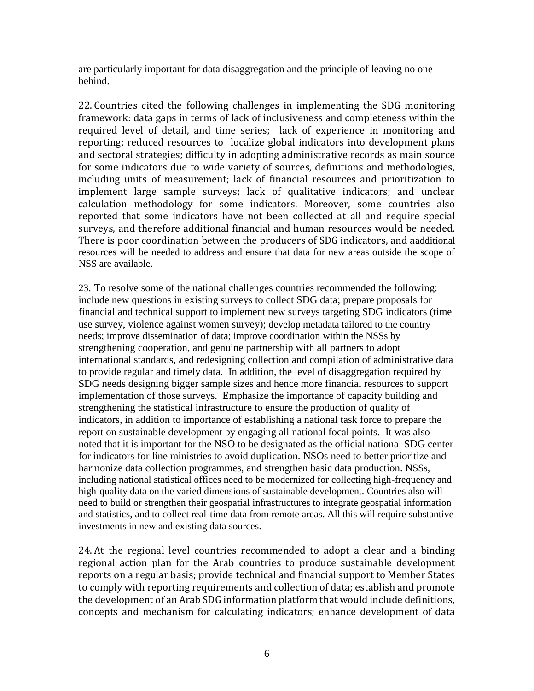are particularly important for data disaggregation and the principle of leaving no one behind.

22. Countries cited the following challenges in implementing the SDG monitoring framework: data gaps in terms of lack of inclusiveness and completeness within the required level of detail, and time series; lack of experience in monitoring and reporting; reduced resources to localize global indicators into development plans and sectoral strategies; difficulty in adopting administrative records as main source for some indicators due to wide variety of sources, definitions and methodologies, including units of measurement; lack of financial resources and prioritization to implement large sample surveys; lack of qualitative indicators; and unclear calculation methodology for some indicators. Moreover, some countries also reported that some indicators have not been collected at all and require special surveys, and therefore additional financial and human resources would be needed. There is poor coordination between the producers of SDG indicators, and aadditional resources will be needed to address and ensure that data for new areas outside the scope of NSS are available.

23. To resolve some of the national challenges countries recommended the following: include new questions in existing surveys to collect SDG data; prepare proposals for financial and technical support to implement new surveys targeting SDG indicators (time use survey, violence against women survey); develop metadata tailored to the country needs; improve dissemination of data; improve coordination within the NSSs by strengthening cooperation, and genuine partnership with all partners to adopt international standards, and redesigning collection and compilation of administrative data to provide regular and timely data. In addition, the level of disaggregation required by SDG needs designing bigger sample sizes and hence more financial resources to support implementation of those surveys. Emphasize the importance of capacity building and strengthening the statistical infrastructure to ensure the production of quality of indicators, in addition to importance of establishing a national task force to prepare the report on sustainable development by engaging all national focal points. It was also noted that it is important for the NSO to be designated as the official national SDG center for indicators for line ministries to avoid duplication. NSOs need to better prioritize and harmonize data collection programmes, and strengthen basic data production. NSSs, including national statistical offices need to be modernized for collecting high-frequency and high-quality data on the varied dimensions of sustainable development. Countries also will need to build or strengthen their geospatial infrastructures to integrate geospatial information and statistics, and to collect real-time data from remote areas. All this will require substantive investments in new and existing data sources.

24. At the regional level countries recommended to adopt a clear and a binding regional action plan for the Arab countries to produce sustainable development reports on a regular basis; provide technical and financial support to Member States to comply with reporting requirements and collection of data; establish and promote the development of an Arab SDG information platform that would include definitions, concepts and mechanism for calculating indicators; enhance development of data